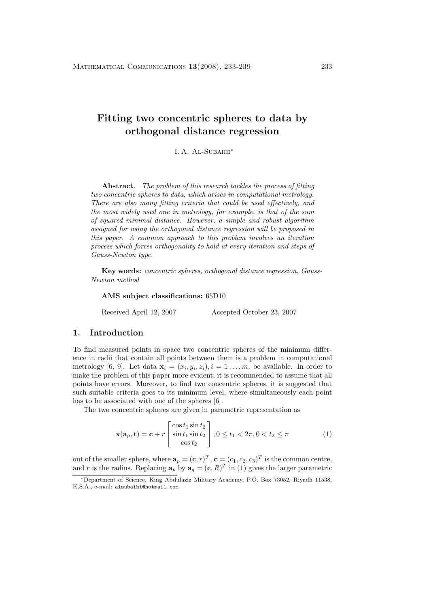# **Fitting two concentric spheres to data by orthogonal distance regression**

I. A. Al-Subaihi<sup>∗</sup>

**Abstract***. The problem of this research tackles the process of fitting two concentric spheres to data, which arises in computational metrology. There are also many fitting criteria that could be used effectively, and the most widely used one in metrology, for example, is that of the sum of squared minimal distance. However, a simple and robust algorithm assigned for using the orthogonal distance regression will be proposed in this paper. A common approach to this problem involves an iteration process which forces orthogonality to hold at every iteration and steps of Gauss-Newton type.*

**Key words:** *concentric spheres, orthogonal distance regression, Gauss-Newton method*

**AMS subject classifications:** 65D10

Received April 12, 2007 Accepted October 23, 2007

# **1. Introduction**

To find measured points in space two concentric spheres of the minimum difference in radii that contain all points between them is a problem in computational metrology [6, 9]. Let data  $\mathbf{x}_i = (x_i, y_i, z_i), i = 1, \ldots, m$ , be available. In order to make the problem of this paper more evident, it is recommended to assume that all points have errors. Moreover, to find two concentric spheres, it is suggested that such suitable criteria goes to its minimum level, where simultaneously each point has to be associated with one of the spheres [6].

The two concentric spheres are given in parametric representation as

$$
\mathbf{x}(\mathbf{a}_p, \mathbf{t}) = \mathbf{c} + r \begin{bmatrix} \cos t_1 \sin t_2 \\ \sin t_1 \sin t_2 \\ \cos t_2 \end{bmatrix}, 0 \le t_1 < 2\pi, 0 < t_2 \le \pi
$$
 (1)

out of the smaller sphere, where  $\mathbf{a}_p = (\mathbf{c}, r)^T$ ,  $\mathbf{c} = (c_1, c_2, c_3)^T$  is the common centre, and r is the radius. Replacing  $\mathbf{a}_p$  by  $\mathbf{a}_q = (\mathbf{c}, R)^T$  in (1) gives the larger parametric

<sup>∗</sup>Department of Science, King Abdulaziz Military Academy, P.O. Box 73052, Riyadh 11538, K.S.A., e-mail: alsubaihi@hotmail.com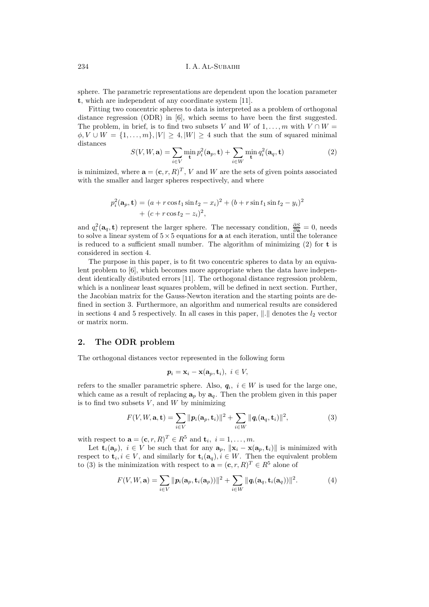sphere. The parametric representations are dependent upon the location parameter **t**, which are independent of any coordinate system [11].

Fitting two concentric spheres to data is interpreted as a problem of orthogonal distance regression (ODR) in [6], which seems to have been the first suggested. The problem, in brief, is to find two subsets V and W of  $1, \ldots, m$  with  $V \cap W =$  $\phi, V \cup W = \{1, \ldots, m\}, |V| \geq 4, |W| \geq 4$  such that the sum of squared minimal distances

$$
S(V, W, \mathbf{a}) = \sum_{i \in V} \min_{\mathbf{t}} p_i^2(\mathbf{a}_p, \mathbf{t}) + \sum_{i \in W} \min_{\mathbf{t}} q_i^2(\mathbf{a}_q, \mathbf{t})
$$
(2)

is minimized, where  $\mathbf{a} = (\mathbf{c}, r, R)^T$ , V and W are the sets of given points associated with the smaller and larger spheres respectively, and where

$$
p_i^2(\mathbf{a}_p, \mathbf{t}) = (a + r \cos t_1 \sin t_2 - x_i)^2 + (b + r \sin t_1 \sin t_2 - y_i)^2
$$
  
+ 
$$
(c + r \cos t_2 - z_i)^2,
$$

and  $q_i^2(\mathbf{a}_q, \mathbf{t})$  represent the larger sphere. The necessary condition,  $\frac{\partial S}{\partial \mathbf{a}} = 0$ , needs to solve a linear system of  $5 \times 5$  equations for **a** at each iteration, until the tolerance is reduced to a sufficient small number. The algorithm of minimizing (2) for **t** is considered in section 4.

The purpose in this paper, is to fit two concentric spheres to data by an equivalent problem to [6], which becomes more appropriate when the data have independent identically distibuted errors [11]. The orthogonal distance regression problem, which is a nonlinear least squares problem, will be defined in next section. Further, the Jacobian matrix for the Gauss-Newton iteration and the starting points are defined in section 3. Furthermore, an algorithm and numerical results are considered in sections 4 and 5 respectively. In all cases in this paper,  $\|\cdot\|$  denotes the  $l_2$  vector or matrix norm.

#### **2. The ODR problem**

The orthogonal distances vector represented in the following form

$$
\mathbf{p}_i = \mathbf{x}_i - \mathbf{x}(\mathbf{a}_p, \mathbf{t}_i), \ i \in V,
$$

refers to the smaller parametric sphere. Also,  $q_i$ ,  $i \in W$  is used for the large one, which came as a result of replacing  $\mathbf{a}_p$  by  $\mathbf{a}_q$ . Then the problem given in this paper is to find two subsets  $V$ , and  $W$  by minimizing

$$
F(V, W, \mathbf{a}, \mathbf{t}) = \sum_{i \in V} ||\boldsymbol{p}_i(\mathbf{a}_p, \mathbf{t}_i)||^2 + \sum_{i \in W} ||\boldsymbol{q}_i(\mathbf{a}_q, \mathbf{t}_i)||^2, \tag{3}
$$

with respect to  $\mathbf{a} = (\mathbf{c}, r, R)^T \in R^5$  and  $\mathbf{t}_i, i = 1, \ldots, m$ .

Let  $\mathbf{t}_i(\mathbf{a}_p)$ ,  $i \in V$  be such that for any  $\mathbf{a}_p$ ,  $\|\mathbf{x}_i - \mathbf{x}(\mathbf{a}_p, \mathbf{t}_i)\|$  is minimized with respect to  $\mathbf{t}_i, i \in V$ , and similarly for  $\mathbf{t}_i(\mathbf{a}_q), i \in W$ . Then the equivalent problem to (3) is the minimization with respect to  $\mathbf{a} = (\mathbf{c}, r, R)^T \in R^5$  alone of

$$
F(V, W, \mathbf{a}) = \sum_{i \in V} ||\mathbf{p}_i(\mathbf{a}_p, \mathbf{t}_i(\mathbf{a}_p))||^2 + \sum_{i \in W} ||\mathbf{q}_i(\mathbf{a}_q, \mathbf{t}_i(\mathbf{a}_q))||^2.
$$
 (4)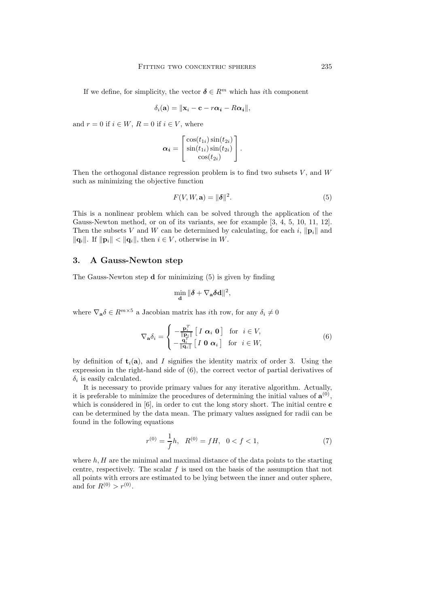If we define, for simplicity, the vector  $\boldsymbol{\delta} \in R^m$  which has *i*th component

$$
\delta_i(\mathbf{a}) = \|\mathbf{x}_i - \mathbf{c} - r\alpha_i - R\alpha_i\|,
$$

and  $r = 0$  if  $i \in W$ ,  $R = 0$  if  $i \in V$ , where

$$
\boldsymbol{\alpha_i} = \begin{bmatrix} \cos(t_{1i}) \sin(t_{2i}) \\ \sin(t_{1i}) \sin(t_{2i}) \\ \cos(t_{2i}) \end{bmatrix}.
$$

Then the orthogonal distance regression problem is to find two subsets  $V$ , and  $W$ such as minimizing the objective function

$$
F(V, W, \mathbf{a}) = \|\boldsymbol{\delta}\|^2. \tag{5}
$$

This is a nonlinear problem which can be solved through the application of the Gauss-Newton method, or on of its variants, see for example  $[3, 4, 5, 10, 11, 12]$ . Then the subsets V and W can be determined by calculating, for each i,  $\|\mathbf{p}_i\|$  and  $\|\mathbf{q}_i\|$ . If  $\|\mathbf{p}_i\| < \|\mathbf{q}_i\|$ , then  $i \in V$ , otherwise in W.

#### **3. A Gauss-Newton step**

The Gauss-Newton step **d** for minimizing (5) is given by finding

$$
\min_{\mathbf{d}} \|\boldsymbol{\delta} + \nabla_{\mathbf{a}} \boldsymbol{\delta} \mathbf{d}\|^2,
$$

where  $\nabla_{\mathbf{a}} \delta \in R^{m \times 5}$  a Jacobian matrix has *i*th row, for any  $\delta_i \neq 0$ 

$$
\nabla_{\mathbf{a}} \delta_i = \begin{cases}\n-\frac{\mathbf{p}_i^T}{\|\mathbf{p}_i\|} \left[ I \ \alpha_i \ \mathbf{0} \right] & \text{for } i \in V, \\
-\frac{\mathbf{q}_i^T}{\|\mathbf{q}_i\|} \left[ I \ \mathbf{0} \ \alpha_i \right] & \text{for } i \in W,\n\end{cases} \tag{6}
$$

by definition of  $t_i(a)$ , and I signifies the identity matrix of order 3. Using the expression in the right-hand side of (6), the correct vector of partial derivatives of  $\delta_i$  is easily calculated.

It is necessary to provide primary values for any iterative algorithm. Actually, it is preferable to minimize the procedures of determining the initial values of  $\mathbf{a}^{(0)}$ , which is considered in [6], in order to cut the long story short. The initial centre **c** can be determined by the data mean. The primary values assigned for radii can be found in the following equations

$$
r^{(0)} = \frac{1}{f}h, \quad R^{(0)} = fH, \quad 0 < f < 1,\tag{7}
$$

where  $h, H$  are the minimal and maximal distance of the data points to the starting centre, respectively. The scalar  $f$  is used on the basis of the assumption that not all points with errors are estimated to be lying between the inner and outer sphere, and for  $R^{(0)} > r^{(0)}$ .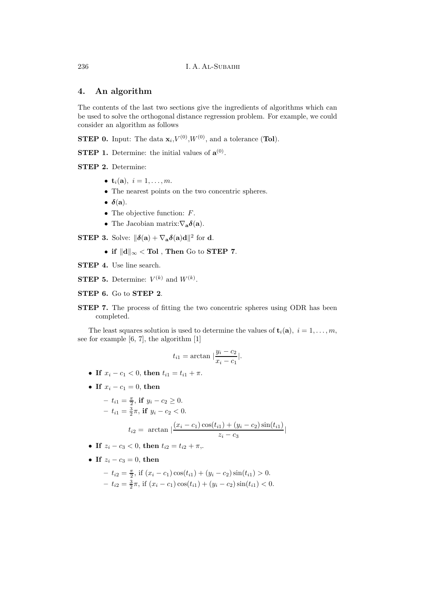# **4. An algorithm**

The contents of the last two sections give the ingredients of algorithms which can be used to solve the orthogonal distance regression problem. For example, we could consider an algorithm as follows

**STEP 0.** Input: The data  $\mathbf{x}_i$ ,  $V^{(0)}$ ,  $W^{(0)}$ , and a tolerance (**Tol**).

**STEP 1.** Determine: the initial values of  $\mathbf{a}^{(0)}$ .

**STEP 2.** Determine:

- $t_i(a), i = 1, ..., m$ .
- The nearest points on the two concentric spheres.
- $\bullet$   $\delta$ (**a**).
- The objective function:  $F$ .
- The Jacobian matrix: $\nabla_{\mathbf{a}} \delta(\mathbf{a})$ .

**STEP 3.** Solve:  $\|\boldsymbol{\delta}(\mathbf{a}) + \nabla_{\mathbf{a}}\boldsymbol{\delta}(\mathbf{a})\mathbf{d}\|^2$  for **d**.

- $\bullet$  if  $\|\mathbf{d}\|_{\infty} <$  Tol , Then Go to STEP 7.
- **STEP 4.** Use line search.
- **STEP 5.** Determine:  $V^{(k)}$  and  $W^{(k)}$ .
- **STEP 6.** Go to **STEP 2**.
- **STEP 7.** The process of fitting the two concentric spheres using ODR has been completed.

The least squares solution is used to determine the values of  $\mathbf{t}_i(\mathbf{a}), i = 1, \ldots, m$ , see for example [6, 7], the algorithm [1]

$$
t_{i1} = \arctan \left| \frac{y_i - c_2}{x_i - c_1} \right|.
$$

- **If**  $x_i c_1 < 0$ , **then**  $t_{i1} = t_{i1} + \pi$ .
- **If**  $x_i c_1 = 0$ , **then**

$$
- t_{i1} = \frac{\pi}{2}, \text{ if } y_i - c_2 \ge 0.
$$
  
\n
$$
- t_{i1} = \frac{3}{2}\pi, \text{ if } y_i - c_2 < 0.
$$
  
\n
$$
t_{i2} = \arctan \left| \frac{(x_i - c_1)\cos(t_{i1}) + (y_i - c_2)\sin(t_{i1})}{z_i - c_3} \right|
$$

- **If**  $z_i c_3 < 0$ , **then**  $t_{i2} = t_{i2} + \pi$ ,.
- **If**  $z_i c_3 = 0$ , **then**

$$
- t_{i2} = \frac{\pi}{2}, \text{ if } (x_i - c_1) \cos(t_{i1}) + (y_i - c_2) \sin(t_{i1}) > 0.
$$
  

$$
- t_{i2} = \frac{3}{2}\pi, \text{ if } (x_i - c_1) \cos(t_{i1}) + (y_i - c_2) \sin(t_{i1}) < 0.
$$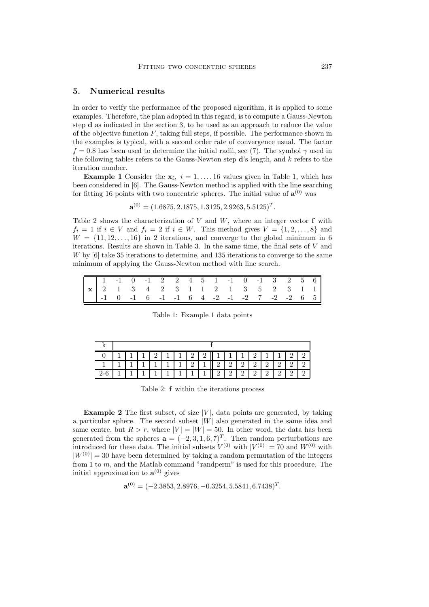## **5. Numerical results**

In order to verify the performance of the proposed algorithm, it is applied to some examples. Therefore, the plan adopted in this regard, is to compute a Gauss-Newton step **d** as indicated in the section 3, to be used as an approach to reduce the value of the objective function  $F$ , taking full steps, if possible. The performance shown in the examples is typical, with a second order rate of convergence usual. The factor  $f = 0.8$  has been used to determine the initial radii, see (7). The symbol  $\gamma$  used in the following tables refers to the Gauss-Newton step **d**'s length, and k refers to the iteration number.

**Example 1** Consider the  $\mathbf{x}_i$ ,  $i = 1, \ldots, 16$  values given in Table 1, which has been considered in [6]. The Gauss-Newton method is applied with the line searching for fitting 16 points with two concentric spheres. The initial value of  $\mathbf{a}^{(0)}$  was

$$
\mathbf{a}^{(0)} = (1.6875, 2.1875, 1.3125, 2.9263, 5.5125)^T.
$$

Table 2 shows the characterization of  $V$  and  $W$ , where an integer vector  $f$  with  $f_i = 1$  if  $i \in V$  and  $f_i = 2$  if  $i \in W$ . This method gives  $V = \{1, 2, \ldots, 8\}$  and  $W = \{11, 12, \ldots, 16\}$  in 2 iterations, and converge to the global minimum in 6 iterations. Results are shown in Table 3. In the same time, the final sets of  $V$  and W by [6] take 35 iterations to determine, and 135 iterations to converge to the same minimum of applying the Gauss-Newton method with line search.

|  |  |  |  |  |  | $\begin{array}{ ccccccccccccccccccc }\hline \textbf{x} & 1 & -1 & 0 & -1 & 2 & 2 & 4 & 5 & 1 & -1 & 0 & -1 & 3 & 2 & 5 & 6 \\ \hline \textbf{x} & 2 & 1 & 3 & 4 & 2 & 3 & 1 & 1 & 2 & 1 & 3 & 5 & 2 & 3 & 1 & 1 \\ \hline \end{array}$ |  |  |
|--|--|--|--|--|--|----------------------------------------------------------------------------------------------------------------------------------------------------------------------------------------------------------------------------------------|--|--|
|  |  |  |  |  |  | $-1$ 0 -1 6 -1 -1 6 4 -2 -1 -2 7 -2 -2 6 5                                                                                                                                                                                             |  |  |

Table 1: Example 1 data points

|  |  |  |   |  |    | $2^{\circ}$ |   |          | $\mathbf{1}$ |          |  |  |          |          |  |
|--|--|--|---|--|----|-------------|---|----------|--------------|----------|--|--|----------|----------|--|
|  |  |  | м |  | -1 | $\Omega$    | 1 | $\Omega$ | $\Omega$     | $\Omega$ |  |  | $\Omega$ | $\Omega$ |  |
|  |  |  |   |  |    |             |   |          | $\Omega$     |          |  |  |          |          |  |

Table 2: **f** within the iterations process

**Example 2** The first subset, of size  $|V|$ , data points are generated, by taking a particular sphere. The second subset  $|W|$  also generated in the same idea and same centre, but  $R>r$ , where  $|V| = |W| = 50$ . In other word, the data has been generated from the spheres  $\mathbf{a} = (-2, 3, 1, 6, 7)^T$ . Then random perturbations are introduced for these data. The initial subsets  $V^{(0)}$  with  $|V^{(0)}| = 70$  and  $W^{(0)}$  with  $|W^{(0)}| = 30$  have been determined by taking a random permutation of the integers from 1 to m, and the Matlab command "randperm" is used for this procedure. The initial approximation to  $\mathbf{a}^{(0)}$  gives

$$
\mathbf{a}^{(0)} = (-2.3853, 2.8976, -0.3254, 5.5841, 6.7438)^T.
$$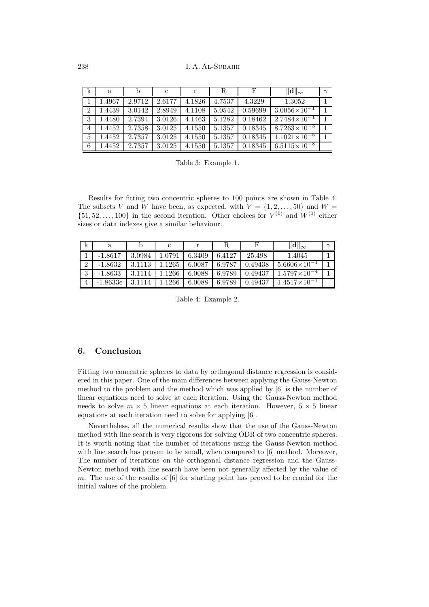| $\mathbf k$    | a      |        | c      | r      | R      |         | $\ \mathbf{d}\ _{\infty}$ | $\sim$ |
|----------------|--------|--------|--------|--------|--------|---------|---------------------------|--------|
|                | 1.4967 | 2.9712 | 2.6177 | 4.1826 | 4.7537 | 4.3229  | 1.3052                    |        |
| $\overline{2}$ | 1.4439 | 3.0142 | 2.8949 | 4.1108 | 5.0542 | 0.59699 | $3.0056 \times 10^{-1}$   |        |
| 3              | 1.4480 | 2.7394 | 3.0126 | 4.1463 | 5.1282 | 0.18462 | $2.7484\times10^{-1}$     |        |
| $\overline{4}$ | 1.4452 | 2.7358 | 3.0125 | 4.1550 | 5.1357 | 0.18345 | $8.7263\times10^{-3}$     |        |
| $\frac{5}{2}$  | 1.4452 | 2.7357 | 3.0125 | 4.1550 | 5.1357 | 0.18345 | $1.1021\times10^{-5}$     |        |
| 6              | 1.4452 | 2.7357 | 3.0125 | 4.1550 | 5.1357 | 0.18345 | $6.5115\times10^{-8}$     |        |

Table 3: Example 1.

Results for fitting two concentric spheres to 100 points are shown in Table 4. The subsets V and W have been, as expected, with  $V = \{1, 2, \ldots, 50\}$  and  $W =$  $\{51, 52, \ldots, 100\}$  in the second iteration. Other choices for  $V^{(0)}$  and  $W^{(0)}$  either sizes or data indexes give a similar behaviour.

| k              | a          |        |        |        |        |         | $\ \mathbf{d}\ _{\infty}$ | $\sim$ |
|----------------|------------|--------|--------|--------|--------|---------|---------------------------|--------|
|                | $-1.8617$  | 3.0984 | 1.0791 | 6.3409 | 6.4127 | 25.498  | 1.4045                    |        |
| $\overline{2}$ | $-1.8632$  | 3.1113 | 1.1265 | 6.0087 | 6.9787 | 0.49438 | $5.6606\times10^{-1}$     |        |
| 3              | $-1.8633$  | 3.1114 | 1.1266 | 6.0088 | 6.9789 | 0.49437 | $1.5797\times10^{-4}$     |        |
| $\overline{4}$ | $-1.8633e$ | 3.1114 | 1266   | 6.0088 | 6.9789 | 0.49437 | $1.4517\times10^{-7}$     |        |

Table 4: Example 2.

## **6. Conclusion**

Fitting two concentric spheres to data by orthogonal distance regression is considered in this paper. One of the main differences between applying the Gauss-Newton method to the problem and the method which was applied by [6] is the number of linear equations need to solve at each iteration. Using the Gauss-Newton method needs to solve  $m \times 5$  linear equations at each iteration. However,  $5 \times 5$  linear equations at each iteration need to solve for applying [6].

Nevertheless, all the numerical results show that the use of the Gauss-Newton method with line search is very rigorous for solving ODR of two concentric spheres. It is worth noting that the number of iterations using the Gauss-Newton method with line search has proven to be small, when compared to [6] method. Moreover, The number of iterations on the orthogonal distance regression and the Gauss-Newton method with line search have been not generally affected by the value of m. The use of the results of  $[6]$  for starting point has proved to be crucial for the initial values of the problem.